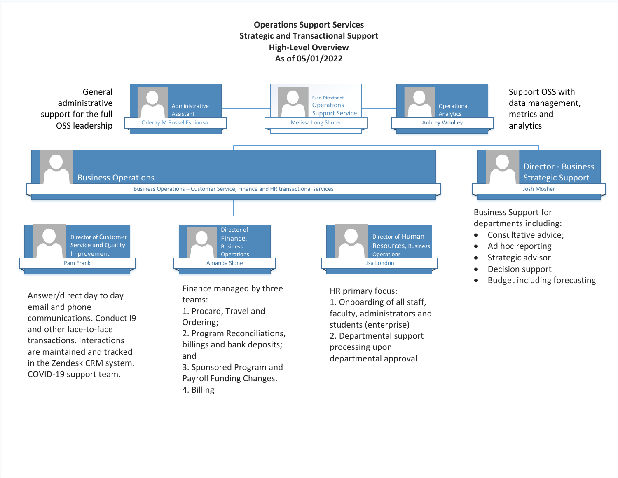## **Operations Support Services Strategic and Transactional Support High-Level Overview As of 05/01/2022**



4. Billing